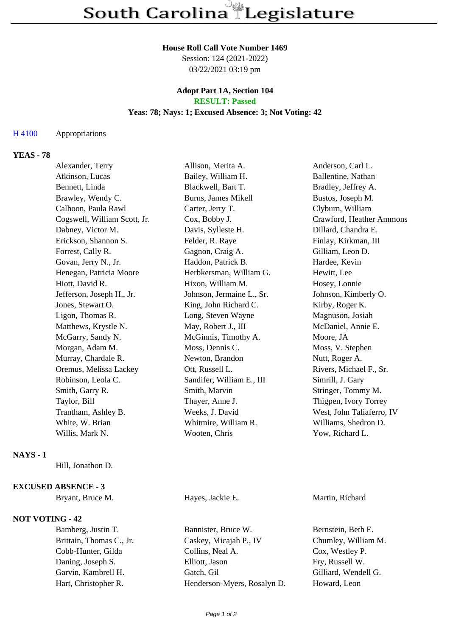### **House Roll Call Vote Number 1469**

Session: 124 (2021-2022) 03/22/2021 03:19 pm

### **Adopt Part 1A, Section 104 RESULT: Passed**

# **Yeas: 78; Nays: 1; Excused Absence: 3; Not Voting: 42**

### H 4100 Appropriations

# **YEAS - 78**

| Alexander, Terry             | Allison, Merita A.         | Anderson, Carl L.         |
|------------------------------|----------------------------|---------------------------|
| Atkinson, Lucas              | Bailey, William H.         | Ballentine, Nathan        |
| Bennett, Linda               | Blackwell, Bart T.         | Bradley, Jeffrey A.       |
| Brawley, Wendy C.            | <b>Burns, James Mikell</b> | Bustos, Joseph M.         |
| Calhoon, Paula Rawl          | Carter, Jerry T.           | Clyburn, William          |
| Cogswell, William Scott, Jr. | Cox, Bobby J.              | Crawford, Heather Ammons  |
| Dabney, Victor M.            | Davis, Sylleste H.         | Dillard, Chandra E.       |
| Erickson, Shannon S.         | Felder, R. Raye            | Finlay, Kirkman, III      |
| Forrest, Cally R.            | Gagnon, Craig A.           | Gilliam, Leon D.          |
| Govan, Jerry N., Jr.         | Haddon, Patrick B.         | Hardee, Kevin             |
| Henegan, Patricia Moore      | Herbkersman, William G.    | Hewitt, Lee               |
| Hiott, David R.              | Hixon, William M.          | Hosey, Lonnie             |
| Jefferson, Joseph H., Jr.    | Johnson, Jermaine L., Sr.  | Johnson, Kimberly O.      |
| Jones, Stewart O.            | King, John Richard C.      | Kirby, Roger K.           |
| Ligon, Thomas R.             | Long, Steven Wayne         | Magnuson, Josiah          |
| Matthews, Krystle N.         | May, Robert J., III        | McDaniel, Annie E.        |
| McGarry, Sandy N.            | McGinnis, Timothy A.       | Moore, JA                 |
| Morgan, Adam M.              | Moss, Dennis C.            | Moss, V. Stephen          |
| Murray, Chardale R.          | Newton, Brandon            | Nutt, Roger A.            |
| Oremus, Melissa Lackey       | Ott, Russell L.            | Rivers, Michael F., Sr.   |
| Robinson, Leola C.           | Sandifer, William E., III  | Simrill, J. Gary          |
| Smith, Garry R.              | Smith, Marvin              | Stringer, Tommy M.        |
| Taylor, Bill                 | Thayer, Anne J.            | Thigpen, Ivory Torrey     |
| Trantham, Ashley B.          | Weeks, J. David            | West, John Taliaferro, IV |
| White, W. Brian              | Whitmire, William R.       | Williams, Shedron D.      |
| Willis, Mark N.              | Wooten, Chris              | Yow, Richard L.           |
|                              |                            |                           |

## **NAYS - 1**

Hill, Jonathon D.

## **EXCUSED ABSENCE - 3**

### **NOT VOTING - 42**

Bryant, Bruce M. **Hayes**, Jackie E. **Martin**, Richard

Bamberg, Justin T. Bannister, Bruce W. Bernstein, Beth E. Brittain, Thomas C., Jr. Caskey, Micajah P., IV Chumley, William M. Cobb-Hunter, Gilda Collins, Neal A. Cox, Westley P. Daning, Joseph S. Elliott, Jason Fry, Russell W. Garvin, Kambrell H. Gatch, Gilliard, Garvin, Kambrell H. Gatch, Gil Hart, Christopher R. Henderson-Myers, Rosalyn D. Howard, Leon